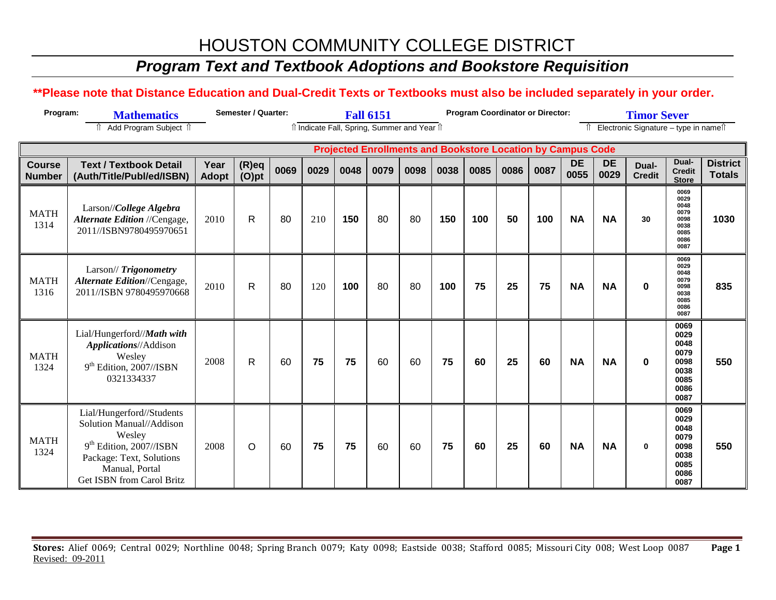### *Program Text and Textbook Adoptions and Bookstore Requisition*

#### **\*\*Please note that Distance Education and Dual-Credit Texts or Textbooks must also be included separately in your order.**

| Program:                       | <b>Mathematics</b>                                                                                                                                                      | <b>Semester / Quarter:</b> | <b>Fall 6151</b>     |      |      |                                            |      |      | <b>Program Coordinator or Director:</b> |      |      | <b>Timor Sever</b> |                                                                    |                   |                                        |                                                                      |                                  |
|--------------------------------|-------------------------------------------------------------------------------------------------------------------------------------------------------------------------|----------------------------|----------------------|------|------|--------------------------------------------|------|------|-----------------------------------------|------|------|--------------------|--------------------------------------------------------------------|-------------------|----------------------------------------|----------------------------------------------------------------------|----------------------------------|
|                                | Add Program Subject 1<br>⇑                                                                                                                                              |                            |                      |      |      | î Indicate Fall, Spring, Summer and Year î |      |      |                                         |      |      |                    |                                                                    |                   | Î Electronic Signature - type in nameî |                                                                      |                                  |
|                                |                                                                                                                                                                         |                            |                      |      |      |                                            |      |      |                                         |      |      |                    | <b>Projected Enrollments and Bookstore Location by Campus Code</b> |                   |                                        |                                                                      |                                  |
| <b>Course</b><br><b>Number</b> | <b>Text / Textbook Detail</b><br>(Auth/Title/Publ/ed/ISBN)                                                                                                              | Year<br><b>Adopt</b>       | $(R)$ eq<br>$(O)$ pt | 0069 | 0029 | 0048                                       | 0079 | 0098 | 0038                                    | 0085 | 0086 | 0087               | <b>DE</b><br>0055                                                  | <b>DE</b><br>0029 | Dual-<br><b>Credit</b>                 | Dual-<br><b>Credit</b><br><b>Store</b>                               | <b>District</b><br><b>Totals</b> |
| <b>MATH</b><br>1314            | Larson//College Algebra<br>Alternate Edition //Cengage,<br>2011//ISBN9780495970651                                                                                      | 2010                       | $\mathsf{R}$         | 80   | 210  | 150                                        | 80   | 80   | 150                                     | 100  | 50   | 100                | <b>NA</b>                                                          | <b>NA</b>         | 30                                     | 0069<br>0029<br>0048<br>0079<br>0098<br>0038<br>0085<br>0086<br>0087 | 1030                             |
| <b>MATH</b><br>1316            | Larson// Trigonometry<br>Alternate Edition//Cengage,<br>2011//ISBN 9780495970668                                                                                        | 2010                       | $\mathsf{R}$         | 80   | 120  | 100                                        | 80   | 80   | 100                                     | 75   | 25   | 75                 | <b>NA</b>                                                          | <b>NA</b>         | $\bf{0}$                               | 0069<br>0029<br>0048<br>0079<br>0098<br>0038<br>0085<br>0086<br>0087 | 835                              |
| <b>MATH</b><br>1324            | Lial/Hungerford//Math with<br>Applications//Addison<br>Wesley<br>$9th$ Edition, 2007//ISBN<br>0321334337                                                                | 2008                       | $\mathsf{R}$         | 60   | 75   | 75                                         | 60   | 60   | 75                                      | 60   | 25   | 60                 | <b>NA</b>                                                          | <b>NA</b>         | $\bf{0}$                               | 0069<br>0029<br>0048<br>0079<br>0098<br>0038<br>0085<br>0086<br>0087 | 550                              |
| <b>MATH</b><br>1324            | Lial/Hungerford//Students<br>Solution Manual//Addison<br>Wesley<br>$9th$ Edition, 2007//ISBN<br>Package: Text, Solutions<br>Manual, Portal<br>Get ISBN from Carol Britz | 2008                       | O                    | 60   | 75   | 75                                         | 60   | 60   | 75                                      | 60   | 25   | 60                 | <b>NA</b>                                                          | <b>NA</b>         | $\bf{0}$                               | 0069<br>0029<br>0048<br>0079<br>0098<br>0038<br>0085<br>0086<br>0087 | 550                              |

**Stores:** Alief 0069; Central 0029; Northline 0048; Spring Branch 0079; Katy 0098; Eastside 0038; Stafford 0085; Missouri City 008; West Loop 0087 **Page 1** Revised: 09-2011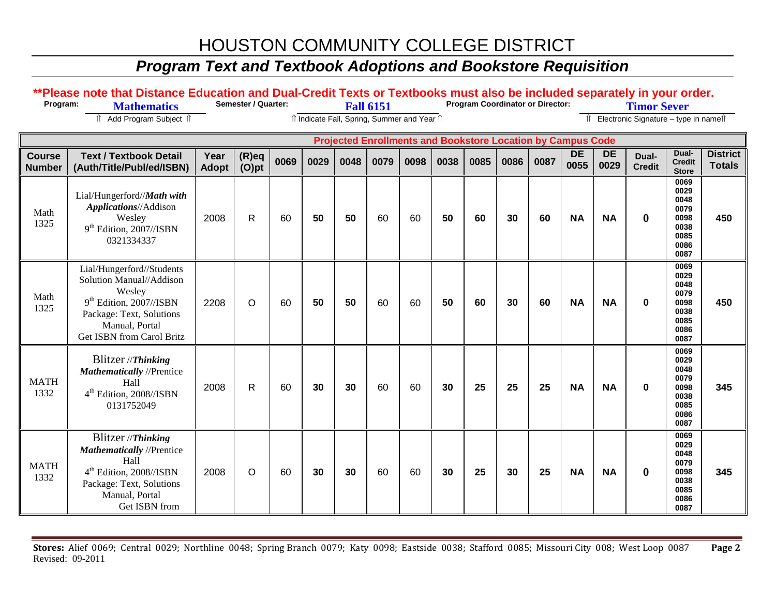### *Program Text and Textbook Adoptions and Bookstore Requisition*

#### \*\*Please note that Distance Education and Dual-Credit Texts or Textbooks must also be included separately in your order.<br>Program: Mathematics Semester / Quarter: Fall 6151 Program Coordinator or Director: Timor Sever ⇑ Add Program Subject ⇑ ⇑ Indicate Fall, Spring, Summer and Year ⇑ ⇑ Electronic Signature – type in name⇑  **Projected Enrollments and Bookstore Location by Campus Code Course Number Text / Textbook Detail (Auth/Title/Publ/ed/ISBN) Year Adopt (R)eq (O)pt <sup>0069</sup> <sup>0029</sup> <sup>0048</sup> <sup>0079</sup> <sup>0098</sup> <sup>0038</sup> <sup>0085</sup> <sup>0086</sup> <sup>0087</sup> DE 0055 DE 0029 Dual-Credit Dual-Credit Store District Totals** Math 1325 Lial/Hungerford//*Math with Applications*//Addison Wesley 9<sup>th</sup> Edition, 2007//ISBN 0321334337 2008 R 60 **50 50** 60 60 **50 60 30 60 NA NA 0 0069 0029 0048 0079 0098 0038 0085 0086 0087 450** Math 1325 Lial/Hungerford//Students Solution Manual//Addison Wesley 9<sup>th</sup> Edition, 2007//ISBN Package: Text, Solutions Manual, Portal Get ISBN from Carol Britz 2208 O 60 **50 50** 60 60 **50 60 30 60 NA NA 0 0069 0029 0048 0079 0098 0038 0085 0086 0087 450** MATH 1332 Blitzer //*Thinking Mathematically* //Prentice Hall 4<sup>th</sup> Edition, 2008//ISBN 0131752049 2008 R 60 **30 30** 60 60 **30 25 25 25 NA NA 0 0069 0029 0048 0079 0098 0038 0085 0086 0087 345** MATH 1332 Blitzer //*Thinking Mathematically* //Prentice Hall 4th Edition, 2008//ISBN Package: Text, Solutions Manual, Portal Get ISBN from 2008 O 60 **30 30** 60 60 **30 25 30 25 NA NA 0 0069 0029 0048 0079 0098 0038 0085 0086 0087 345**

**Stores:** Alief 0069; Central 0029; Northline 0048; Spring Branch 0079; Katy 0098; Eastside 0038; Stafford 0085; Missouri City 008; West Loop 0087 **Page 2** Revised: 09-2011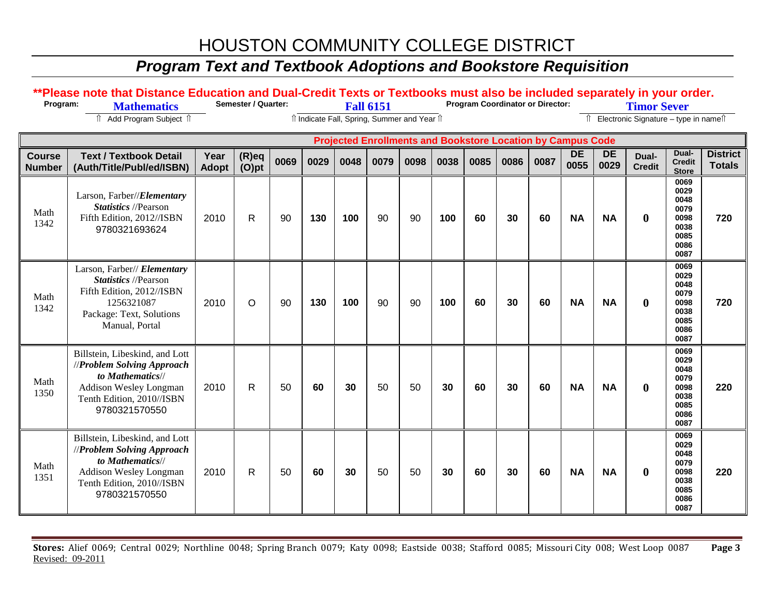### *Program Text and Textbook Adoptions and Bookstore Requisition*

#### \*\*Please note that Distance Education and Dual-Credit Texts or Textbooks must also be included separately in your order.<br>Program: Mathematics Semester / Quarter: Fall 6151 Program Coordinator or Director: Timor Sever ⇑ Add Program Subject ⇑ ⇑ Indicate Fall, Spring, Summer and Year ⇑ ⇑ Electronic Signature – type in name⇑  **Projected Enrollments and Bookstore Location by Campus Code Course Number Text / Textbook Detail (Auth/Title/Publ/ed/ISBN) Year Adopt (R)eq (O)pt <sup>0069</sup> <sup>0029</sup> <sup>0048</sup> <sup>0079</sup> <sup>0098</sup> <sup>0038</sup> <sup>0085</sup> <sup>0086</sup> <sup>0087</sup> DE 0055 DE 0029 Dual-Credit Dual-Credit Store District Totals** Math 1342 Larson, Farber//*Elementary Statistics* //Pearson Fifth Edition, 2012//ISBN 9780321693624 2010 R 90 **130 100** 90 90 **100 60 30 60 NA NA 0 0069 0029 0048 0079 0098 0038 0085 0086 0087 720** Math 1342 Larson, Farber// *Elementary Statistics* //Pearson Fifth Edition, 2012//ISBN 1256321087 Package: Text, Solutions Manual, Portal 2010 O 90 **130 100** 90 90 **100 60 30 60 NA NA 0 0069 0029 0048 0079 0098 0038 0085 0086 0087 720** Math 1350 Billstein, Libeskind, and Lott //*Problem Solving Approach to Mathematics*// Addison Wesley Longman Tenth Edition, 2010//ISBN 9780321570550 2010 R 50 **60 30** 50 50 **30 60 30 60 NA NA 0 0069 0029 0048 0079 0098 0038 0085 0086 0087 220** Math 1351 Billstein, Libeskind, and Lott //*Problem Solving Approach to Mathematics*// Addison Wesley Longman Tenth Edition, 2010//ISBN 9780321570550 2010 R 50 **60 30** 50 50 **30 60 30 60 NA NA 0 0069 0029 0048 0079 0098 0038 0085 0086 0087 220**

**Stores:** Alief 0069; Central 0029; Northline 0048; Spring Branch 0079; Katy 0098; Eastside 0038; Stafford 0085; Missouri City 008; West Loop 0087 **Page 3** Revised: 09-2011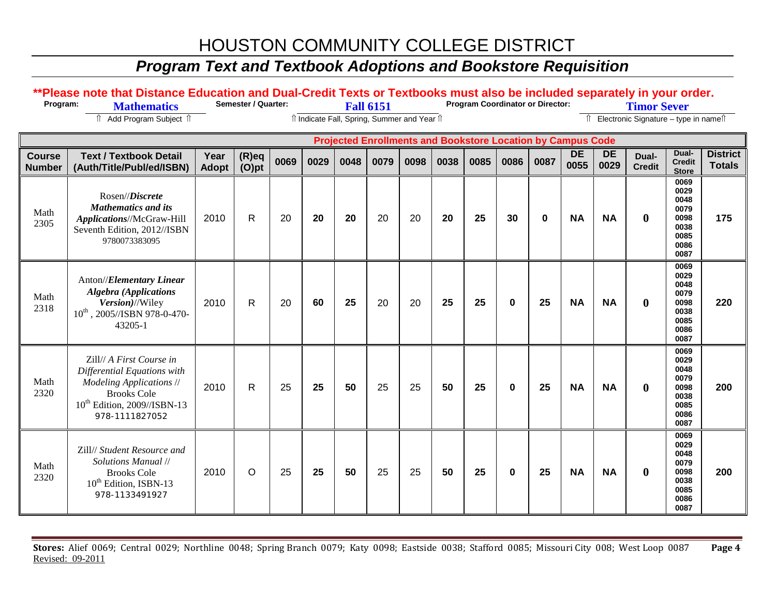### *Program Text and Textbook Adoptions and Bookstore Requisition*

#### \*\*Please note that Distance Education and Dual-Credit Texts or Textbooks must also be included separately in your order.<br>Program: Mathematics Semester / Quarter: Fall 6151 Program Coordinator or Director: Timor Sever ⇑ Add Program Subject ⇑ ⇑ Indicate Fall, Spring, Summer and Year ⇑ ⇑ Electronic Signature – type in name⇑  **Projected Enrollments and Bookstore Location by Campus Code Course Number Text / Textbook Detail (Auth/Title/Publ/ed/ISBN) Year Adopt (R)eq (O)pt <sup>0069</sup> <sup>0029</sup> <sup>0048</sup> <sup>0079</sup> <sup>0098</sup> <sup>0038</sup> <sup>0085</sup> <sup>0086</sup> <sup>0087</sup> DE 0055 DE 0029 Dual-Credit Dual-Credit Store District Totals** Math 2305 Rosen//*Discrete Mathematics and its Applications*//McGraw-Hill Seventh Edition, 2012//ISBN 9780073383095 2010 R 20 **20 20** 20 20 **20 25 30 0 NA NA 0 0069 0029 0048 0079 0098 0038 0085 0086 0087 175** Math 2318 Anton//*Elementary Linear Algebra (Applications Version)*//Wiley 10th , 2005//ISBN 978-0-470- 43205-1 2010 R 20 **60 25** 20 20 **25 25 0 25 NA NA 0 0069 0029 0048 0079 0098 0038 0085 0086 0087 220** Math 2320 Zill// *A First Course in Differential Equations with Modeling Applications* // Brooks Cole 10th Edition, 2009//ISBN-13 978-1111827052 2010 R 25 **25 50** 25 25 **50 25 0 25 NA NA 0 0069 0029 0048 0079 0098 0038 0085 0086 0087 200** Math 2320 Zill// *Student Resource and Solutions Manual* // Brooks Cole 10<sup>th</sup> Edition, ISBN-13 978-1133491927 2010 O 25 **25 50** 25 25 **50 25 0 25 NA NA 0 0069 0029 0048 0079 0098 0038 0085 0086 0087 200**

**Stores:** Alief 0069; Central 0029; Northline 0048; Spring Branch 0079; Katy 0098; Eastside 0038; Stafford 0085; Missouri City 008; West Loop 0087 **Page 4** Revised: 09-2011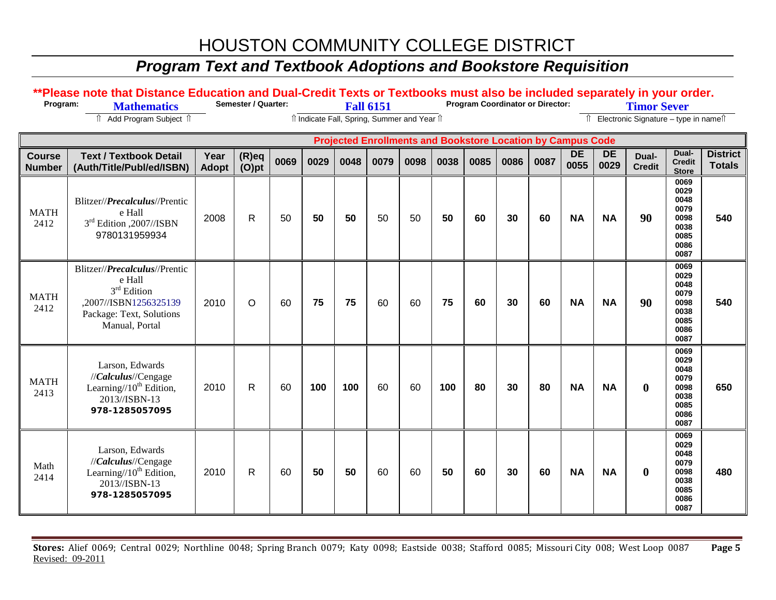### *Program Text and Textbook Adoptions and Bookstore Requisition*

#### \*\*Please note that Distance Education and Dual-Credit Texts or Textbooks must also be included separately in your order.<br>Program: Mathematics Semester / Quarter: Fall 6151 Program Coordinator or Director: Timor Sever ⇑ Add Program Subject ⇑ ⇑ Indicate Fall, Spring, Summer and Year ⇑ ⇑ Electronic Signature – type in name⇑  **Projected Enrollments and Bookstore Location by Campus Code Course Number Text / Textbook Detail (Auth/Title/Publ/ed/ISBN) Year Adopt (R)eq (O)pt <sup>0069</sup> <sup>0029</sup> <sup>0048</sup> <sup>0079</sup> <sup>0098</sup> <sup>0038</sup> <sup>0085</sup> <sup>0086</sup> <sup>0087</sup> DE 0055 DE 0029 Dual-Credit Dual-Credit Store District Totals** MATH 2412 Blitzer//*Precalculus*//Prentic e Hall 3<sup>rd</sup> Edition .2007//ISBN 9780131959934 2008 R 50 **50 50** 50 50 **50 60 30 60 NA NA 90 0069 0029 0048 0079 0098 0038 0085 0086 0087 540** MATH 2412 Blitzer//*Precalculus*//Prentic e Hall 3<sup>rd</sup> Edition ,2007//ISBN1256325139 Package: Text, Solutions Manual, Portal 2010 O 60 **75 75** 60 60 **75 60 30 60 NA NA 90 0069 0029 0048 0079 0098 0038 0085 0086 0087 540** MATH 2413 Larson, Edwards //*Calculus*//Cengage Learning/ $/10^{th}$  Edition, 2013//ISBN-13 **978-1285057095** 2010 R 60 **100 100** 60 60 **100 80 30 80 NA NA 0 0069 0029 0048 0079 0098 0038 0085 0086 0087 650** Math 2414 Larson, Edwards //*Calculus*//Cengage Learning/ $/10^{th}$  Edition, 2013//ISBN-13 **978-1285057095** 2010 R 60 **50 50** 60 60 **50 60 30 60 NA NA 0 0069 0029 0048 0079 0098 0038 0085 0086 0087 480**